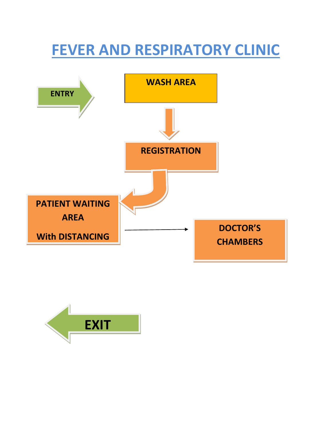## **FEVER AND RESPIRATORY CLINIC**



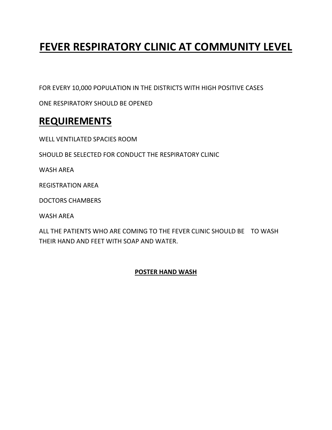### **FEVER RESPIRATORY CLINIC AT COMMUNITY LEVEL**

FOR EVERY 10,000 POPULATION IN THE DISTRICTS WITH HIGH POSITIVE CASES

ONE RESPIRATORY SHOULD BE OPENED

### **REQUIREMENTS**

WELL VENTILATED SPACIES ROOM

SHOULD BE SELECTED FOR CONDUCT THE RESPIRATORY CLINIC

WASH AREA

REGISTRATION AREA

DOCTORS CHAMBERS

WASH AREA

ALL THE PATIENTS WHO ARE COMING TO THE FEVER CLINIC SHOULD BE TO WASH THEIR HAND AND FEET WITH SOAP AND WATER.

#### **POSTER HAND WASH**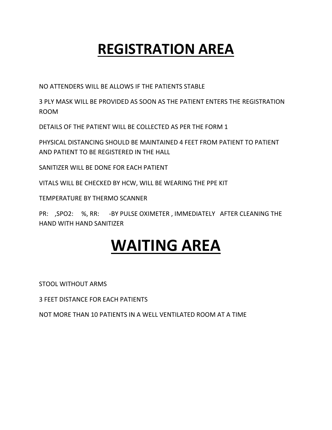## **REGISTRATION AREA**

NO ATTENDERS WILL BE ALLOWS IF THE PATIENTS STABLE

3 PLY MASK WILL BE PROVIDED AS SOON AS THE PATIENT ENTERS THE REGISTRATION ROOM

DETAILS OF THE PATIENT WILL BE COLLECTED AS PER THE FORM 1

PHYSICAL DISTANCING SHOULD BE MAINTAINED 4 FEET FROM PATIENT TO PATIENT AND PATIENT TO BE REGISTERED IN THE HALL

SANITIZER WILL BE DONE FOR EACH PATIENT

VITALS WILL BE CHECKED BY HCW, WILL BE WEARING THE PPE KIT

TEMPERATURE BY THERMO SCANNER

PR: ,SPO2: %, RR: -BY PULSE OXIMETER , IMMEDIATELY AFTER CLEANING THE HAND WITH HAND SANITIZER

# **WAITING AREA**

STOOL WITHOUT ARMS

3 FEET DISTANCE FOR EACH PATIENTS

NOT MORE THAN 10 PATIENTS IN A WELL VENTILATED ROOM AT A TIME